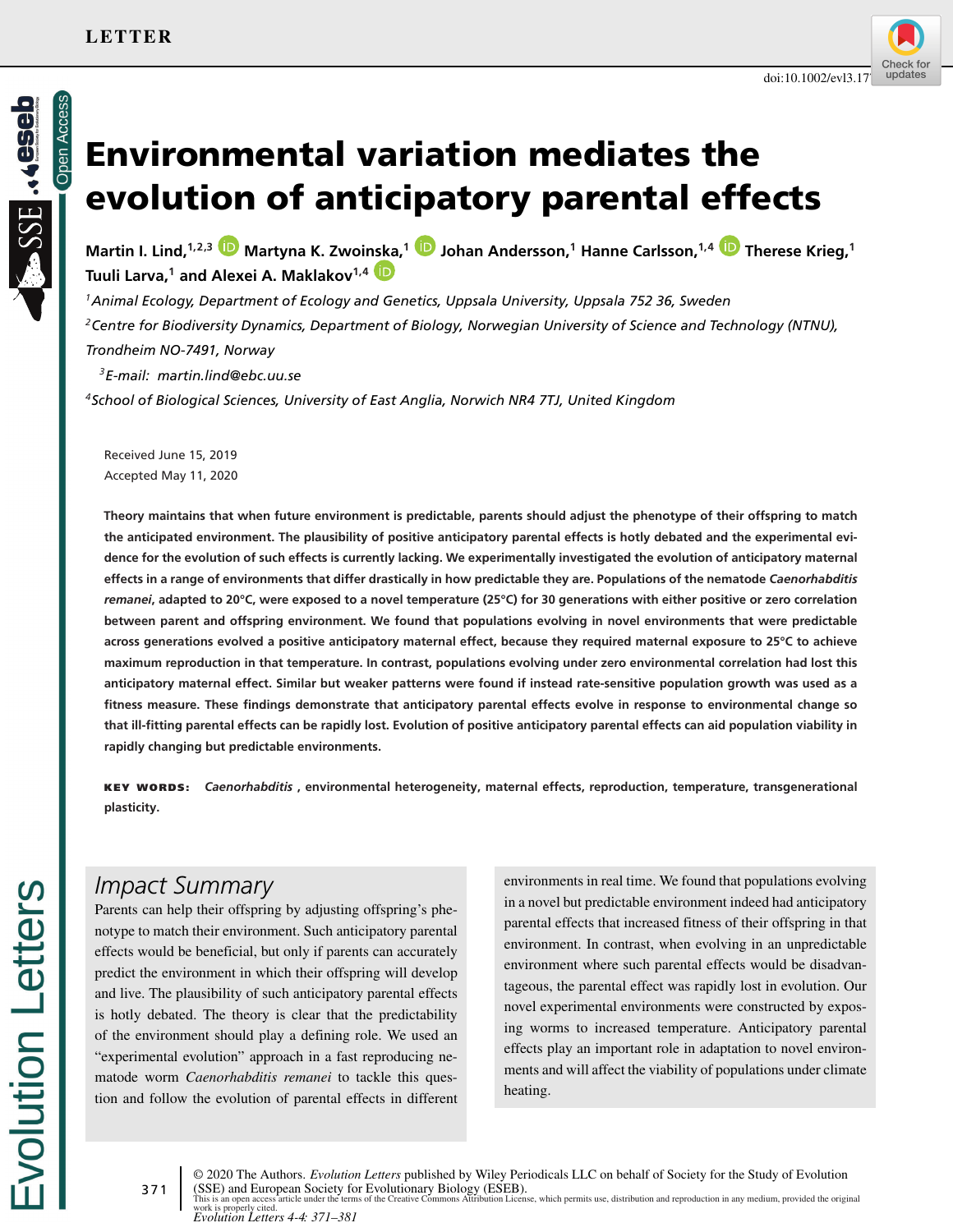

# **Environmental variation mediates the evolution of anticipatory parental effects**

**Martin I. Lind,1,2,3 Martyna K. Zwoi[nska](https://orcid.org/0000-0002-5809-1203),<sup>1</sup> Johan Andersson,1 Hanne Carlsson,1,4 Therese Krieg,<sup>1</sup> Tuuli Larva,<sup>1</sup> and Alexei A. Maklakov1,4**

*1Animal Ecology, Department of Ecology and Genetics, Uppsala University, Uppsala 752 36, Sweden 2Centre for Biodiversity Dynamics, Department of Biology, Norwegian University of Science and Technology (NTNU), Trondheim NO-7491, Norway*

*3E-mail: martin.lind@ebc.uu.se*

*4School of Biological Sciences, University of East Anglia, Norwich NR4 7TJ, United Kingdom*

Received June 15, 2019 Accepted May 11, 2020

**Theory maintains that when future environment is predictable, parents should adjust the phenotype of their offspring to match the anticipated environment. The plausibility of positive anticipatory parental effects is hotly debated and the experimental evidence for the evolution of such effects is currently lacking. We experimentally investigated the evolution of anticipatory maternal effects in a range of environments that differ drastically in how predictable they are. Populations of the nematode** *Caenorhabditis remanei***, adapted to 20°C, were exposed to a novel temperature (25°C) for 30 generations with either positive or zero correlation between parent and offspring environment. We found that populations evolving in novel environments that were predictable across generations evolved a positive anticipatory maternal effect, because they required maternal exposure to 25°C to achieve maximum reproduction in that temperature. In contrast, populations evolving under zero environmental correlation had lost this anticipatory maternal effect. Similar but weaker patterns were found if instead rate-sensitive population growth was used as a fitness measure. These findings demonstrate that anticipatory parental effects evolve in response to environmental change so that ill-fitting parental effects can be rapidly lost. Evolution of positive anticipatory parental effects can aid population viability in rapidly changing but predictable environments.**

**KEY WORDS:** *Caenorhabditis* **, environmental heterogeneity, maternal effects, reproduction, temperature, transgenerational plasticity.**

# *Impact Summary*

Parents can help their offspring by adjusting offspring's phenotype to match their environment. Such anticipatory parental effects would be beneficial, but only if parents can accurately predict the environment in which their offspring will develop and live. The plausibility of such anticipatory parental effects is hotly debated. The theory is clear that the predictability of the environment should play a defining role. We used an "experimental evolution" approach in a fast reproducing nematode worm *Caenorhabditis remanei* to tackle this question and follow the evolution of parental effects in different

environments in real time. We found that populations evolving in a novel but predictable environment indeed had anticipatory parental effects that increased fitness of their offspring in that environment. In contrast, when evolving in an unpredictable environment where such parental effects would be disadvantageous, the parental effect was rapidly lost in evolution. Our novel experimental environments were constructed by exposing worms to increased temperature. Anticipatory parental effects play an important role in adaptation to novel environments and will affect the viability of populations under climate heating.

© 2020 The Authors. *Evolution Letters* published by Wiley Periodicals LLC on behalf of Society for the Study of Evolution (SSE) and European Society for Evolutionary Biology (ESEB).<br>This is an open access article under the terms of the [Creative Commons Attribution](http://creativecommons.org/licenses/by/4.0/) License, which permits use, distribution and reproduction in any medium, provid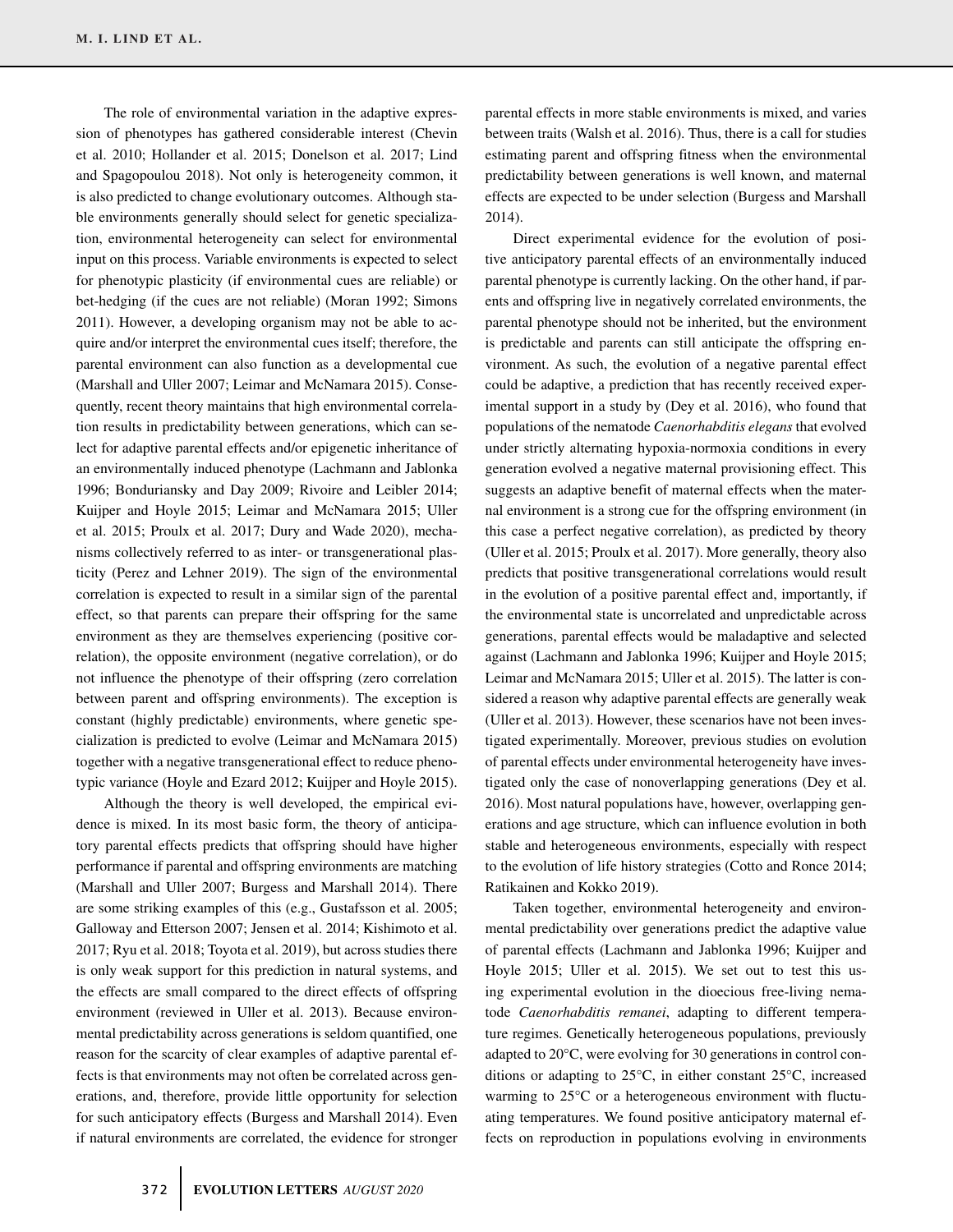The role of environmental variation in the adaptive expression of phenotypes has gathered considerable interest (Chevin et al. 2010; Hollander et al. 2015; Donelson et al. 2017; Lind and Spagopoulou 2018). Not only is heterogeneity common, it is also predicted to change evolutionary outcomes. Although stable environments generally should select for genetic specialization, environmental heterogeneity can select for environmental input on this process. Variable environments is expected to select for phenotypic plasticity (if environmental cues are reliable) or bet-hedging (if the cues are not reliable) (Moran 1992; Simons 2011). However, a developing organism may not be able to acquire and/or interpret the environmental cues itself; therefore, the parental environment can also function as a developmental cue (Marshall and Uller 2007; Leimar and McNamara 2015). Consequently, recent theory maintains that high environmental correlation results in predictability between generations, which can select for adaptive parental effects and/or epigenetic inheritance of an environmentally induced phenotype (Lachmann and Jablonka 1996; Bonduriansky and Day 2009; Rivoire and Leibler 2014; Kuijper and Hoyle 2015; Leimar and McNamara 2015; Uller et al. 2015; Proulx et al. 2017; Dury and Wade 2020), mechanisms collectively referred to as inter- or transgenerational plasticity (Perez and Lehner 2019). The sign of the environmental correlation is expected to result in a similar sign of the parental effect, so that parents can prepare their offspring for the same environment as they are themselves experiencing (positive correlation), the opposite environment (negative correlation), or do not influence the phenotype of their offspring (zero correlation between parent and offspring environments). The exception is constant (highly predictable) environments, where genetic specialization is predicted to evolve (Leimar and McNamara 2015) together with a negative transgenerational effect to reduce phenotypic variance (Hoyle and Ezard 2012; Kuijper and Hoyle 2015).

Although the theory is well developed, the empirical evidence is mixed. In its most basic form, the theory of anticipatory parental effects predicts that offspring should have higher performance if parental and offspring environments are matching (Marshall and Uller 2007; Burgess and Marshall 2014). There are some striking examples of this (e.g., Gustafsson et al. 2005; Galloway and Etterson 2007; Jensen et al. 2014; Kishimoto et al. 2017; Ryu et al. 2018; Toyota et al. 2019), but across studies there is only weak support for this prediction in natural systems, and the effects are small compared to the direct effects of offspring environment (reviewed in Uller et al. 2013). Because environmental predictability across generations is seldom quantified, one reason for the scarcity of clear examples of adaptive parental effects is that environments may not often be correlated across generations, and, therefore, provide little opportunity for selection for such anticipatory effects (Burgess and Marshall 2014). Even if natural environments are correlated, the evidence for stronger

parental effects in more stable environments is mixed, and varies between traits (Walsh et al. 2016). Thus, there is a call for studies estimating parent and offspring fitness when the environmental predictability between generations is well known, and maternal effects are expected to be under selection (Burgess and Marshall 2014).

Direct experimental evidence for the evolution of positive anticipatory parental effects of an environmentally induced parental phenotype is currently lacking. On the other hand, if parents and offspring live in negatively correlated environments, the parental phenotype should not be inherited, but the environment is predictable and parents can still anticipate the offspring environment. As such, the evolution of a negative parental effect could be adaptive, a prediction that has recently received experimental support in a study by (Dey et al. 2016), who found that populations of the nematode *Caenorhabditis elegans* that evolved under strictly alternating hypoxia-normoxia conditions in every generation evolved a negative maternal provisioning effect. This suggests an adaptive benefit of maternal effects when the maternal environment is a strong cue for the offspring environment (in this case a perfect negative correlation), as predicted by theory (Uller et al. 2015; Proulx et al. 2017). More generally, theory also predicts that positive transgenerational correlations would result in the evolution of a positive parental effect and, importantly, if the environmental state is uncorrelated and unpredictable across generations, parental effects would be maladaptive and selected against (Lachmann and Jablonka 1996; Kuijper and Hoyle 2015; Leimar and McNamara 2015; Uller et al. 2015). The latter is considered a reason why adaptive parental effects are generally weak (Uller et al. 2013). However, these scenarios have not been investigated experimentally. Moreover, previous studies on evolution of parental effects under environmental heterogeneity have investigated only the case of nonoverlapping generations (Dey et al. 2016). Most natural populations have, however, overlapping generations and age structure, which can influence evolution in both stable and heterogeneous environments, especially with respect to the evolution of life history strategies (Cotto and Ronce 2014; Ratikainen and Kokko 2019).

Taken together, environmental heterogeneity and environmental predictability over generations predict the adaptive value of parental effects (Lachmann and Jablonka 1996; Kuijper and Hoyle 2015; Uller et al. 2015). We set out to test this using experimental evolution in the dioecious free-living nematode *Caenorhabditis remanei*, adapting to different temperature regimes. Genetically heterogeneous populations, previously adapted to 20°C, were evolving for 30 generations in control conditions or adapting to 25°C, in either constant 25°C, increased warming to 25°C or a heterogeneous environment with fluctuating temperatures. We found positive anticipatory maternal effects on reproduction in populations evolving in environments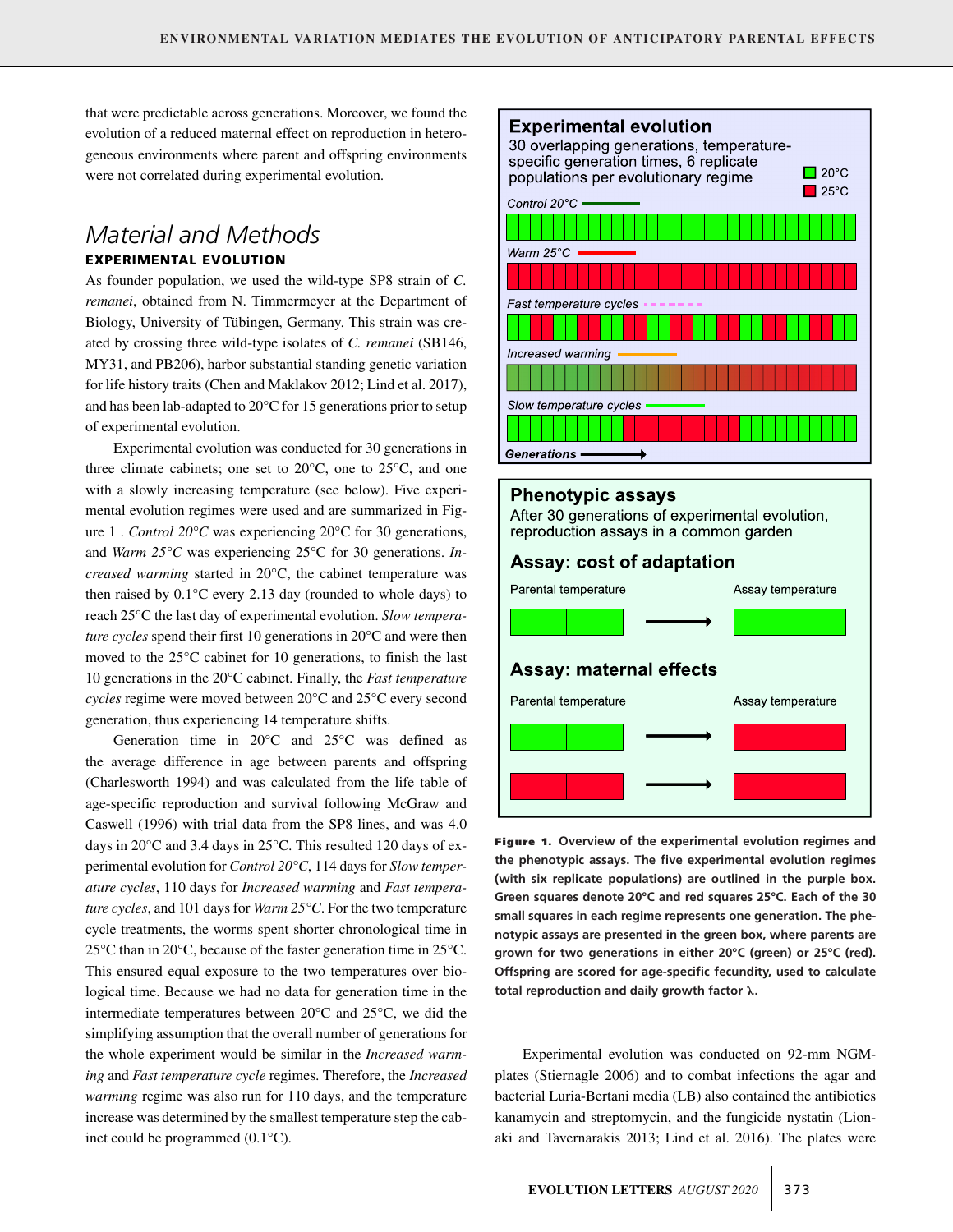that were predictable across generations. Moreover, we found the evolution of a reduced maternal effect on reproduction in heterogeneous environments where parent and offspring environments were not correlated during experimental evolution.

## *Material and Methods* **EXPERIMENTAL EVOLUTION**

As founder population, we used the wild-type SP8 strain of *C. remanei*, obtained from N. Timmermeyer at the Department of Biology, University of Tübingen, Germany. This strain was created by crossing three wild-type isolates of *C. remanei* (SB146, MY31, and PB206), harbor substantial standing genetic variation for life history traits (Chen and Maklakov 2012; Lind et al. 2017), and has been lab-adapted to 20°C for 15 generations prior to setup of experimental evolution.

Experimental evolution was conducted for 30 generations in three climate cabinets; one set to 20°C, one to 25°C, and one with a slowly increasing temperature (see below). Five experimental evolution regimes were used and are summarized in Figure 1 . *Control 20°C* was experiencing 20°C for 30 generations, and *Warm 25°C* was experiencing 25°C for 30 generations. *Increased warming* started in 20°C, the cabinet temperature was then raised by  $0.1^{\circ}$ C every 2.13 day (rounded to whole days) to reach 25°C the last day of experimental evolution. *Slow temperature cycles* spend their first 10 generations in 20°C and were then moved to the 25°C cabinet for 10 generations, to finish the last 10 generations in the 20°C cabinet. Finally, the *Fast temperature cycles* regime were moved between 20°C and 25°C every second generation, thus experiencing 14 temperature shifts.

Generation time in 20°C and 25°C was defined as the average difference in age between parents and offspring (Charlesworth 1994) and was calculated from the life table of age-specific reproduction and survival following McGraw and Caswell (1996) with trial data from the SP8 lines, and was 4.0 days in 20°C and 3.4 days in 25°C. This resulted 120 days of experimental evolution for *Control 20°C*, 114 days for *Slow temperature cycles*, 110 days for *Increased warming* and *Fast temperature cycles*, and 101 days for *Warm 25°C*. For the two temperature cycle treatments, the worms spent shorter chronological time in 25°C than in 20°C, because of the faster generation time in 25°C. This ensured equal exposure to the two temperatures over biological time. Because we had no data for generation time in the intermediate temperatures between 20°C and 25°C, we did the simplifying assumption that the overall number of generations for the whole experiment would be similar in the *Increased warming* and *Fast temperature cycle* regimes. Therefore, the *Increased warming* regime was also run for 110 days, and the temperature increase was determined by the smallest temperature step the cabinet could be programmed (0.1°C).



### **Phenotypic assays**

After 30 generations of experimental evolution, reproduction assays in a common garden

### **Assay: cost of adaptation**



**Figure 1. Overview of the experimental evolution regimes and the phenotypic assays. The five experimental evolution regimes (with six replicate populations) are outlined in the purple box. Green squares denote 20°C and red squares 25°C. Each of the 30 small squares in each regime represents one generation. The phenotypic assays are presented in the green box, where parents are grown for two generations in either 20°C (green) or 25°C (red). Offspring are scored for age-specific fecundity, used to calculate total reproduction and daily growth factor λ.**

Experimental evolution was conducted on 92-mm NGMplates (Stiernagle 2006) and to combat infections the agar and bacterial Luria-Bertani media (LB) also contained the antibiotics kanamycin and streptomycin, and the fungicide nystatin (Lionaki and Tavernarakis 2013; Lind et al. 2016). The plates were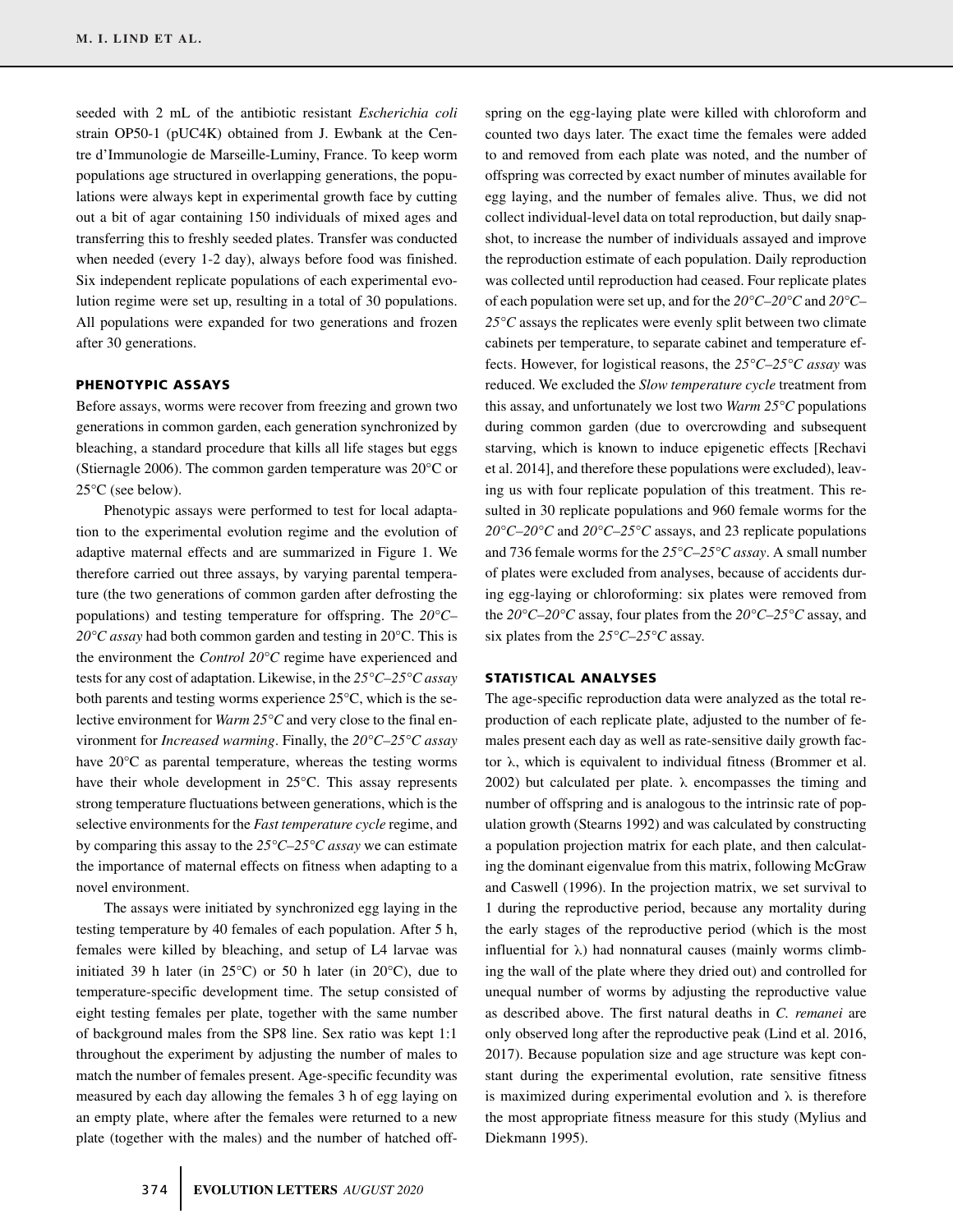seeded with 2 mL of the antibiotic resistant *Escherichia coli* strain OP50-1 (pUC4K) obtained from J. Ewbank at the Centre d'Immunologie de Marseille-Luminy, France. To keep worm populations age structured in overlapping generations, the populations were always kept in experimental growth face by cutting out a bit of agar containing 150 individuals of mixed ages and transferring this to freshly seeded plates. Transfer was conducted when needed (every 1-2 day), always before food was finished. Six independent replicate populations of each experimental evolution regime were set up, resulting in a total of 30 populations. All populations were expanded for two generations and frozen after 30 generations.

### **PHENOTYPIC ASSAYS**

Before assays, worms were recover from freezing and grown two generations in common garden, each generation synchronized by bleaching, a standard procedure that kills all life stages but eggs (Stiernagle 2006). The common garden temperature was 20°C or 25°C (see below).

Phenotypic assays were performed to test for local adaptation to the experimental evolution regime and the evolution of adaptive maternal effects and are summarized in Figure 1. We therefore carried out three assays, by varying parental temperature (the two generations of common garden after defrosting the populations) and testing temperature for offspring. The *20°C– 20°C assay* had both common garden and testing in 20°C. This is the environment the *Control 20°C* regime have experienced and tests for any cost of adaptation. Likewise, in the *25°C–25°C assay* both parents and testing worms experience 25°C, which is the selective environment for *Warm 25°C* and very close to the final environment for *Increased warming*. Finally, the *20°C–25°C assay* have 20°C as parental temperature, whereas the testing worms have their whole development in 25°C. This assay represents strong temperature fluctuations between generations, which is the selective environments for the *Fast temperature cycle* regime, and by comparing this assay to the *25°C–25°C assay* we can estimate the importance of maternal effects on fitness when adapting to a novel environment.

The assays were initiated by synchronized egg laying in the testing temperature by 40 females of each population. After 5 h, females were killed by bleaching, and setup of L4 larvae was initiated 39 h later (in  $25^{\circ}$ C) or 50 h later (in  $20^{\circ}$ C), due to temperature-specific development time. The setup consisted of eight testing females per plate, together with the same number of background males from the SP8 line. Sex ratio was kept 1:1 throughout the experiment by adjusting the number of males to match the number of females present. Age-specific fecundity was measured by each day allowing the females 3 h of egg laying on an empty plate, where after the females were returned to a new plate (together with the males) and the number of hatched off-

spring on the egg-laying plate were killed with chloroform and counted two days later. The exact time the females were added to and removed from each plate was noted, and the number of offspring was corrected by exact number of minutes available for egg laying, and the number of females alive. Thus, we did not collect individual-level data on total reproduction, but daily snapshot, to increase the number of individuals assayed and improve the reproduction estimate of each population. Daily reproduction was collected until reproduction had ceased. Four replicate plates of each population were set up, and for the *20°C–20°C* and *20°C– 25°C* assays the replicates were evenly split between two climate cabinets per temperature, to separate cabinet and temperature effects. However, for logistical reasons, the *25°C–25°C assay* was reduced. We excluded the *Slow temperature cycle* treatment from this assay, and unfortunately we lost two *Warm 25°C* populations during common garden (due to overcrowding and subsequent starving, which is known to induce epigenetic effects [Rechavi et al. 2014], and therefore these populations were excluded), leaving us with four replicate population of this treatment. This resulted in 30 replicate populations and 960 female worms for the *20°C–20°C* and *20°C–25°C* assays, and 23 replicate populations and 736 female worms for the *25°C–25°C assay*. A small number of plates were excluded from analyses, because of accidents during egg-laying or chloroforming: six plates were removed from the *20°C–20°C* assay, four plates from the *20°C–25°C* assay, and six plates from the *25°C–25°C* assay.

### **STATISTICAL ANALYSES**

The age-specific reproduction data were analyzed as the total reproduction of each replicate plate, adjusted to the number of females present each day as well as rate-sensitive daily growth factor λ, which is equivalent to individual fitness (Brommer et al. 2002) but calculated per plate.  $\lambda$  encompasses the timing and number of offspring and is analogous to the intrinsic rate of population growth (Stearns 1992) and was calculated by constructing a population projection matrix for each plate, and then calculating the dominant eigenvalue from this matrix, following McGraw and Caswell (1996). In the projection matrix, we set survival to 1 during the reproductive period, because any mortality during the early stages of the reproductive period (which is the most influential for  $\lambda$ ) had nonnatural causes (mainly worms climbing the wall of the plate where they dried out) and controlled for unequal number of worms by adjusting the reproductive value as described above. The first natural deaths in *C. remanei* are only observed long after the reproductive peak (Lind et al. 2016, 2017). Because population size and age structure was kept constant during the experimental evolution, rate sensitive fitness is maximized during experimental evolution and  $\lambda$  is therefore the most appropriate fitness measure for this study (Mylius and Diekmann 1995).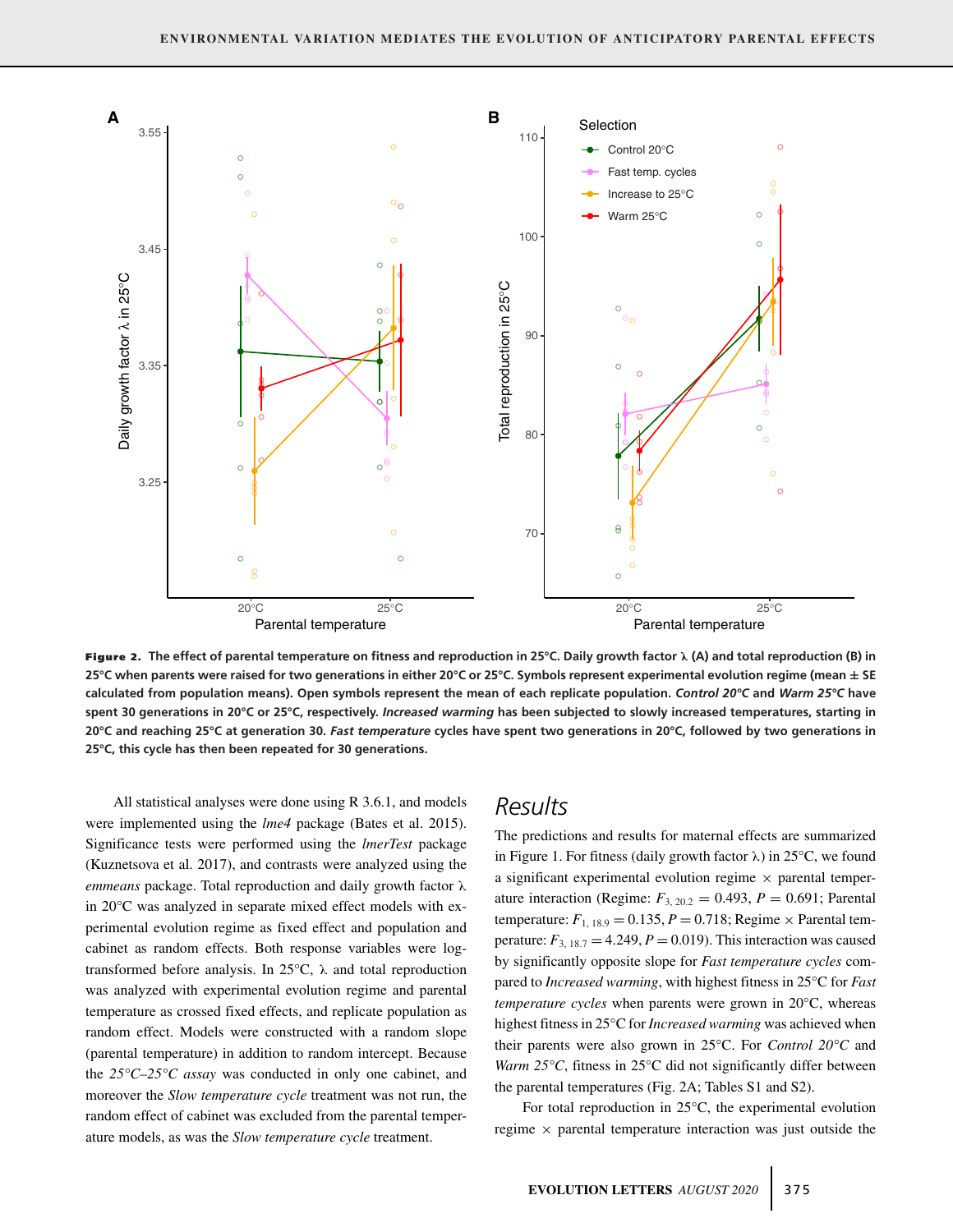

**Figure 2. The effect of parental temperature on fitness and reproduction in 25°C. Daily growth factor <sup>λ</sup> (A) and total reproduction (B) in 25°C when parents were raised for two generations in either 20°C or 25°C. Symbols represent experimental evolution regime (mean ± SE calculated from population means). Open symbols represent the mean of each replicate population.** *Control 20°C* **and** *Warm 25°C* **have spent 30 generations in 20°C or 25°C, respectively.** *Increased warming* **has been subjected to slowly increased temperatures, starting in 20°C and reaching 25°C at generation 30.** *Fast temperature* **cycles have spent two generations in 20°C, followed by two generations in 25°C, this cycle has then been repeated for 30 generations.**

All statistical analyses were done using R 3.6.1, and models were implemented using the *lme4* package (Bates et al. 2015). Significance tests were performed using the *lmerTest* package (Kuznetsova et al. 2017), and contrasts were analyzed using the *emmeans* package. Total reproduction and daily growth factor λ in 20°C was analyzed in separate mixed effect models with experimental evolution regime as fixed effect and population and cabinet as random effects. Both response variables were logtransformed before analysis. In 25 $\degree$ C,  $\lambda$  and total reproduction was analyzed with experimental evolution regime and parental temperature as crossed fixed effects, and replicate population as random effect. Models were constructed with a random slope (parental temperature) in addition to random intercept. Because the *25°C–25°C assay* was conducted in only one cabinet, and moreover the *Slow temperature cycle* treatment was not run, the random effect of cabinet was excluded from the parental temperature models, as was the *Slow temperature cycle* treatment.

# *Results*

The predictions and results for maternal effects are summarized in Figure 1. For fitness (daily growth factor  $\lambda$ ) in 25°C, we found a significant experimental evolution regime  $\times$  parental temperature interaction (Regime:  $F_{3, 20.2} = 0.493$ ,  $P = 0.691$ ; Parental temperature:  $F_{1, 18.9} = 0.135, P = 0.718$ ; Regime × Parental temperature:  $F_{3, 18.7} = 4.249, P = 0.019$ . This interaction was caused by significantly opposite slope for *Fast temperature cycles* compared to *Increased warming*, with highest fitness in 25°C for *Fast temperature cycles* when parents were grown in 20°C, whereas highest fitness in 25°C for *Increased warming* was achieved when their parents were also grown in 25°C. For *Control 20°C* and *Warm 25°C*, fitness in 25°C did not significantly differ between the parental temperatures (Fig. 2A; Tables S1 and S2).

For total reproduction in 25°C, the experimental evolution regime  $\times$  parental temperature interaction was just outside the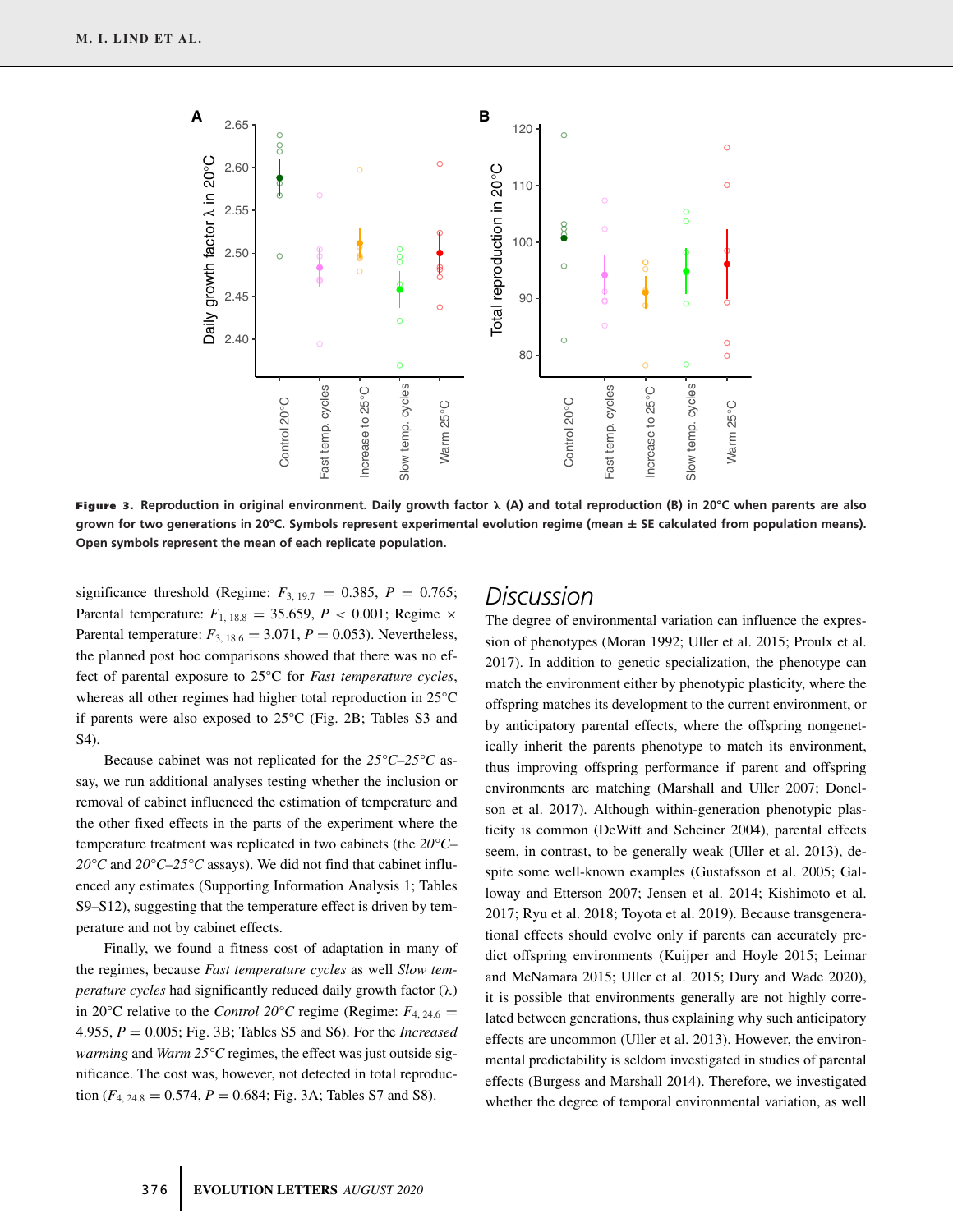

**Figure 3. Reproduction in original environment. Daily growth factor <sup>λ</sup> (A) and total reproduction (B) in 20°C when parents are also grown for two generations in 20°C. Symbols represent experimental evolution regime (mean ± SE calculated from population means). Open symbols represent the mean of each replicate population.**

significance threshold (Regime:  $F_{3, 19.7} = 0.385, P = 0.765$ ; Parental temperature:  $F_{1, 18.8} = 35.659, P < 0.001$ ; Regime  $\times$ Parental temperature:  $F_{3, 18.6} = 3.071, P = 0.053$ ). Nevertheless, the planned post hoc comparisons showed that there was no effect of parental exposure to 25°C for *Fast temperature cycles*, whereas all other regimes had higher total reproduction in 25°C if parents were also exposed to 25°C (Fig. 2B; Tables S3 and S4).

Because cabinet was not replicated for the *25°C–25°C* assay, we run additional analyses testing whether the inclusion or removal of cabinet influenced the estimation of temperature and the other fixed effects in the parts of the experiment where the temperature treatment was replicated in two cabinets (the *20°C– 20°C* and *20°C–25°C* assays). We did not find that cabinet influenced any estimates (Supporting Information Analysis 1; Tables S9–S12), suggesting that the temperature effect is driven by temperature and not by cabinet effects.

Finally, we found a fitness cost of adaptation in many of the regimes, because *Fast temperature cycles* as well *Slow temperature cycles* had significantly reduced daily growth factor (λ) in 20°C relative to the *Control* 20°C regime (Regime:  $F_{4, 24.6}$  = 4.955, *P* = 0.005; Fig. 3B; Tables S5 and S6). For the *Increased warming* and *Warm 25°C* regimes, the effect was just outside significance. The cost was, however, not detected in total reproduction ( $F_{4, 24.8} = 0.574$ ,  $P = 0.684$ ; Fig. 3A; Tables S7 and S8).

# *Discussion*

The degree of environmental variation can influence the expression of phenotypes (Moran 1992; Uller et al. 2015; Proulx et al. 2017). In addition to genetic specialization, the phenotype can match the environment either by phenotypic plasticity, where the offspring matches its development to the current environment, or by anticipatory parental effects, where the offspring nongenetically inherit the parents phenotype to match its environment, thus improving offspring performance if parent and offspring environments are matching (Marshall and Uller 2007; Donelson et al. 2017). Although within-generation phenotypic plasticity is common (DeWitt and Scheiner 2004), parental effects seem, in contrast, to be generally weak (Uller et al. 2013), despite some well-known examples (Gustafsson et al. 2005; Galloway and Etterson 2007; Jensen et al. 2014; Kishimoto et al. 2017; Ryu et al. 2018; Toyota et al. 2019). Because transgenerational effects should evolve only if parents can accurately predict offspring environments (Kuijper and Hoyle 2015; Leimar and McNamara 2015; Uller et al. 2015; Dury and Wade 2020), it is possible that environments generally are not highly correlated between generations, thus explaining why such anticipatory effects are uncommon (Uller et al. 2013). However, the environmental predictability is seldom investigated in studies of parental effects (Burgess and Marshall 2014). Therefore, we investigated whether the degree of temporal environmental variation, as well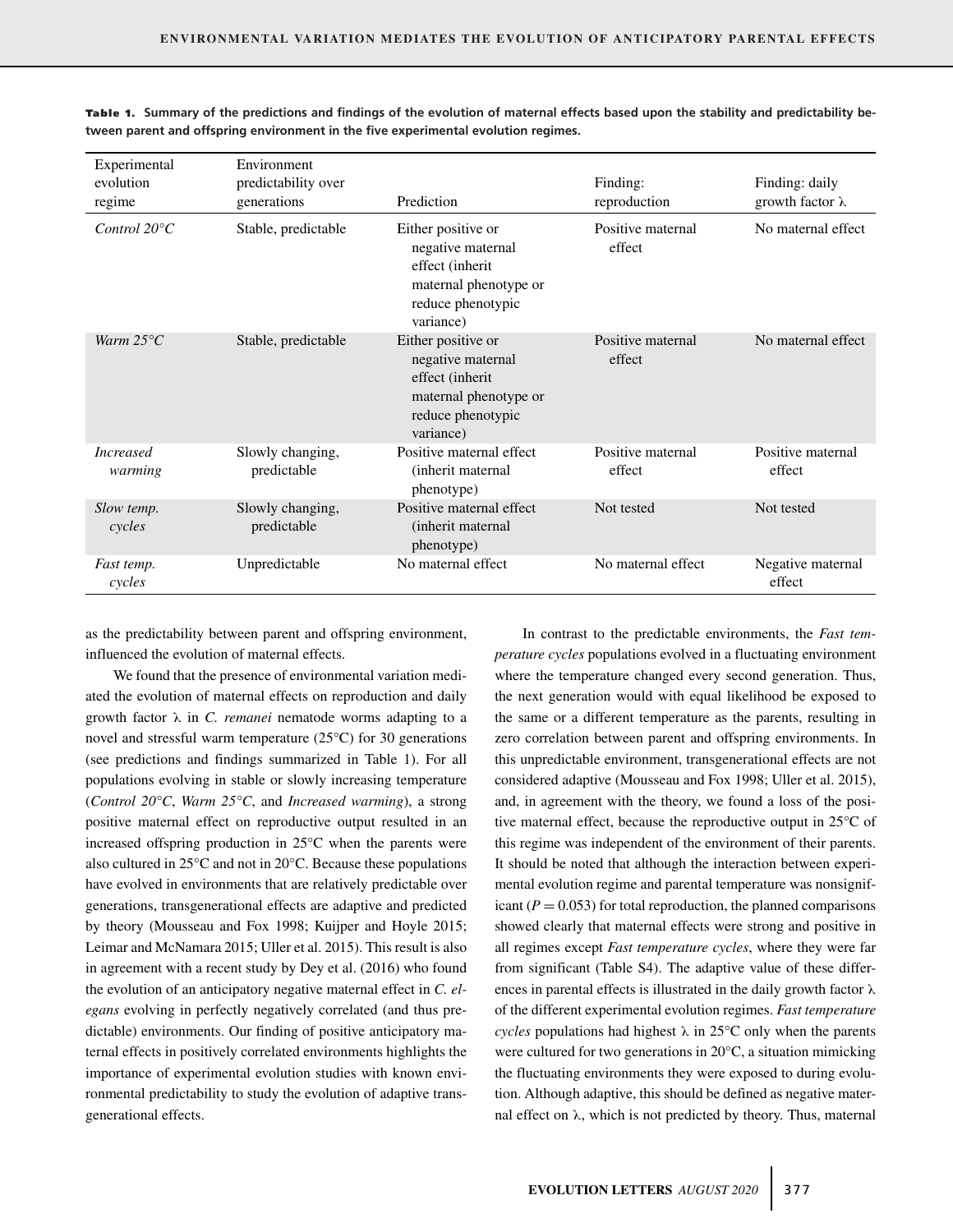| Experimental<br>evolution<br>regime | Environment<br>predictability over<br>generations | Prediction                                                                                                            | Finding:<br>reproduction    | Finding: daily<br>growth factor $\lambda$ |
|-------------------------------------|---------------------------------------------------|-----------------------------------------------------------------------------------------------------------------------|-----------------------------|-------------------------------------------|
| Control $20^{\circ}$ C              | Stable, predictable                               | Either positive or<br>negative maternal<br>effect (inherit<br>maternal phenotype or<br>reduce phenotypic<br>variance) | Positive maternal<br>effect | No maternal effect                        |
| Warm $25^{\circ}C$                  | Stable, predictable                               | Either positive or<br>negative maternal<br>effect (inherit<br>maternal phenotype or<br>reduce phenotypic<br>variance) | Positive maternal<br>effect | No maternal effect                        |
| <i>Increased</i><br>warming         | Slowly changing,<br>predictable                   | Positive maternal effect<br>(inherit maternal)<br>phenotype)                                                          | Positive maternal<br>effect | Positive maternal<br>effect               |
| Slow temp.<br>cycles                | Slowly changing,<br>predictable                   | Positive maternal effect<br>(inherit maternal)<br>phenotype)                                                          | Not tested                  | Not tested                                |
| <i>Fast temp.</i><br>cycles         | Unpredictable                                     | No maternal effect                                                                                                    | No maternal effect          | Negative maternal<br>effect               |

Table 1. Summary of the predictions and findings of the evolution of maternal effects based upon the stability and predictability be**tween parent and offspring environment in the five experimental evolution regimes.**

as the predictability between parent and offspring environment, influenced the evolution of maternal effects.

We found that the presence of environmental variation mediated the evolution of maternal effects on reproduction and daily growth factor λ in *C. remanei* nematode worms adapting to a novel and stressful warm temperature (25°C) for 30 generations (see predictions and findings summarized in Table 1). For all populations evolving in stable or slowly increasing temperature (*Control 20°C*, *Warm 25°C*, and *Increased warming*), a strong positive maternal effect on reproductive output resulted in an increased offspring production in 25°C when the parents were also cultured in 25°C and not in 20°C. Because these populations have evolved in environments that are relatively predictable over generations, transgenerational effects are adaptive and predicted by theory (Mousseau and Fox 1998; Kuijper and Hoyle 2015; Leimar and McNamara 2015; Uller et al. 2015). This result is also in agreement with a recent study by Dey et al. (2016) who found the evolution of an anticipatory negative maternal effect in *C. elegans* evolving in perfectly negatively correlated (and thus predictable) environments. Our finding of positive anticipatory maternal effects in positively correlated environments highlights the importance of experimental evolution studies with known environmental predictability to study the evolution of adaptive transgenerational effects.

In contrast to the predictable environments, the *Fast temperature cycles* populations evolved in a fluctuating environment where the temperature changed every second generation. Thus, the next generation would with equal likelihood be exposed to the same or a different temperature as the parents, resulting in zero correlation between parent and offspring environments. In this unpredictable environment, transgenerational effects are not considered adaptive (Mousseau and Fox 1998; Uller et al. 2015), and, in agreement with the theory, we found a loss of the positive maternal effect, because the reproductive output in 25°C of this regime was independent of the environment of their parents. It should be noted that although the interaction between experimental evolution regime and parental temperature was nonsignificant ( $P = 0.053$ ) for total reproduction, the planned comparisons showed clearly that maternal effects were strong and positive in all regimes except *Fast temperature cycles*, where they were far from significant (Table S4). The adaptive value of these differences in parental effects is illustrated in the daily growth factor  $\lambda$ of the different experimental evolution regimes. *Fast temperature cycles* populations had highest  $\lambda$  in 25°C only when the parents were cultured for two generations in 20°C, a situation mimicking the fluctuating environments they were exposed to during evolution. Although adaptive, this should be defined as negative maternal effect on λ, which is not predicted by theory. Thus, maternal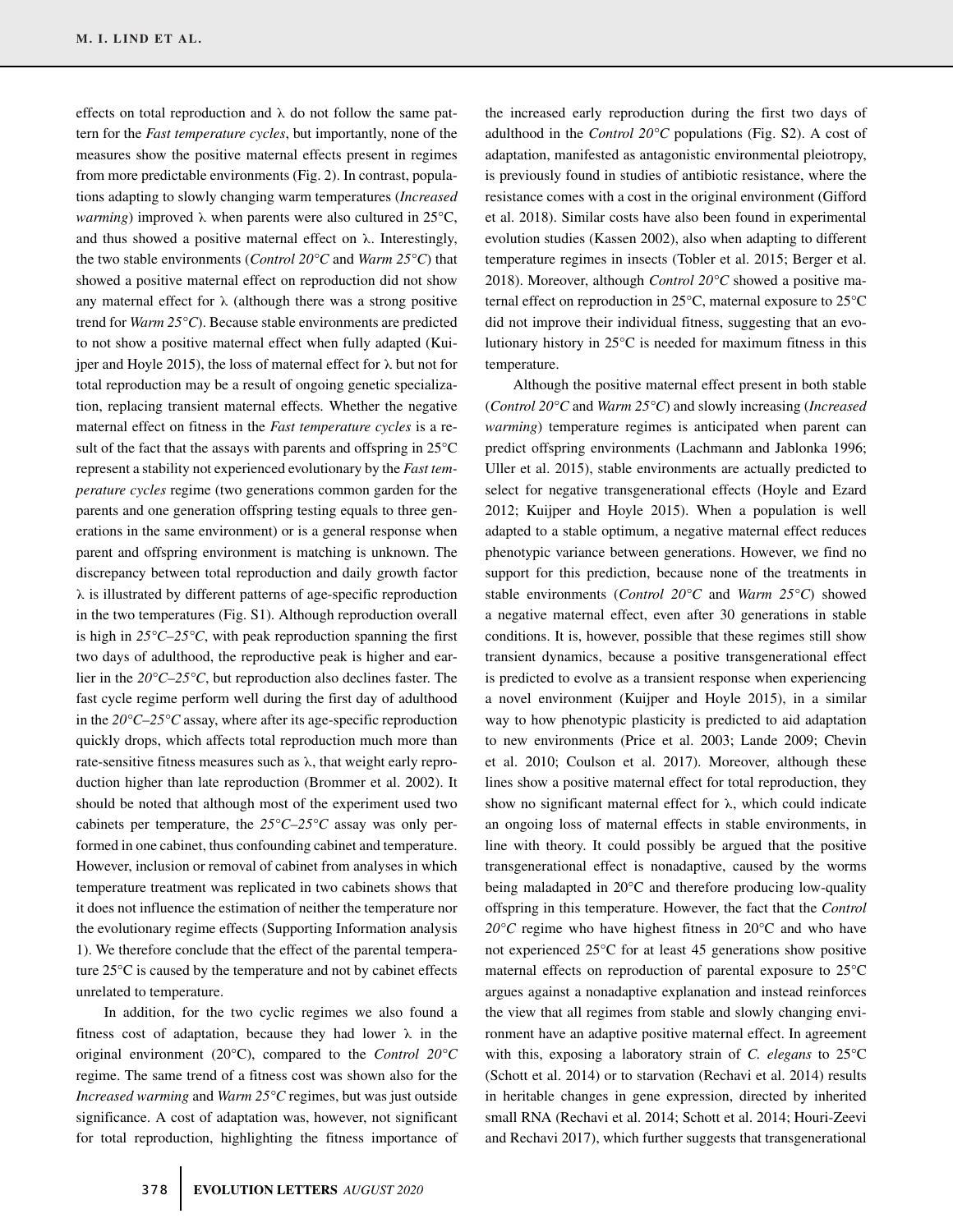effects on total reproduction and  $\lambda$  do not follow the same pattern for the *Fast temperature cycles*, but importantly, none of the measures show the positive maternal effects present in regimes from more predictable environments (Fig. 2). In contrast, populations adapting to slowly changing warm temperatures (*Increased warming*) improved  $\lambda$  when parents were also cultured in 25 $^{\circ}$ C, and thus showed a positive maternal effect on  $\lambda$ . Interestingly, the two stable environments (*Control 20°C* and *Warm 25°C*) that showed a positive maternal effect on reproduction did not show any maternal effect for  $\lambda$  (although there was a strong positive trend for *Warm 25°C*). Because stable environments are predicted to not show a positive maternal effect when fully adapted (Kuijper and Hoyle 2015), the loss of maternal effect for  $\lambda$  but not for total reproduction may be a result of ongoing genetic specialization, replacing transient maternal effects. Whether the negative maternal effect on fitness in the *Fast temperature cycles* is a result of the fact that the assays with parents and offspring in 25°C represent a stability not experienced evolutionary by the *Fast temperature cycles* regime (two generations common garden for the parents and one generation offspring testing equals to three generations in the same environment) or is a general response when parent and offspring environment is matching is unknown. The discrepancy between total reproduction and daily growth factor λ is illustrated by different patterns of age-specific reproduction in the two temperatures (Fig. S1). Although reproduction overall is high in  $25^{\circ}C - 25^{\circ}C$ , with peak reproduction spanning the first two days of adulthood, the reproductive peak is higher and earlier in the *20°C–25°C*, but reproduction also declines faster. The fast cycle regime perform well during the first day of adulthood in the *20°C–25°C* assay, where after its age-specific reproduction quickly drops, which affects total reproduction much more than rate-sensitive fitness measures such as λ, that weight early reproduction higher than late reproduction (Brommer et al. 2002). It should be noted that although most of the experiment used two cabinets per temperature, the *25°C–25°C* assay was only performed in one cabinet, thus confounding cabinet and temperature. However, inclusion or removal of cabinet from analyses in which temperature treatment was replicated in two cabinets shows that it does not influence the estimation of neither the temperature nor the evolutionary regime effects (Supporting Information analysis 1). We therefore conclude that the effect of the parental temperature 25°C is caused by the temperature and not by cabinet effects unrelated to temperature.

In addition, for the two cyclic regimes we also found a fitness cost of adaptation, because they had lower  $\lambda$  in the original environment (20°C), compared to the *Control 20°C* regime. The same trend of a fitness cost was shown also for the *Increased warming* and *Warm 25°C* regimes, but was just outside significance. A cost of adaptation was, however, not significant for total reproduction, highlighting the fitness importance of

the increased early reproduction during the first two days of adulthood in the *Control 20°C* populations (Fig. S2). A cost of adaptation, manifested as antagonistic environmental pleiotropy, is previously found in studies of antibiotic resistance, where the resistance comes with a cost in the original environment (Gifford et al. 2018). Similar costs have also been found in experimental evolution studies (Kassen 2002), also when adapting to different temperature regimes in insects (Tobler et al. 2015; Berger et al. 2018). Moreover, although *Control 20°C* showed a positive maternal effect on reproduction in 25°C, maternal exposure to 25°C did not improve their individual fitness, suggesting that an evolutionary history in 25°C is needed for maximum fitness in this temperature.

Although the positive maternal effect present in both stable (*Control 20°C* and *Warm 25°C*) and slowly increasing (*Increased warming*) temperature regimes is anticipated when parent can predict offspring environments (Lachmann and Jablonka 1996; Uller et al. 2015), stable environments are actually predicted to select for negative transgenerational effects (Hoyle and Ezard 2012; Kuijper and Hoyle 2015). When a population is well adapted to a stable optimum, a negative maternal effect reduces phenotypic variance between generations. However, we find no support for this prediction, because none of the treatments in stable environments (*Control 20°C* and *Warm 25°C*) showed a negative maternal effect, even after 30 generations in stable conditions. It is, however, possible that these regimes still show transient dynamics, because a positive transgenerational effect is predicted to evolve as a transient response when experiencing a novel environment (Kuijper and Hoyle 2015), in a similar way to how phenotypic plasticity is predicted to aid adaptation to new environments (Price et al. 2003; Lande 2009; Chevin et al. 2010; Coulson et al. 2017). Moreover, although these lines show a positive maternal effect for total reproduction, they show no significant maternal effect for  $\lambda$ , which could indicate an ongoing loss of maternal effects in stable environments, in line with theory. It could possibly be argued that the positive transgenerational effect is nonadaptive, caused by the worms being maladapted in 20°C and therefore producing low-quality offspring in this temperature. However, the fact that the *Control 20°C* regime who have highest fitness in 20°C and who have not experienced 25°C for at least 45 generations show positive maternal effects on reproduction of parental exposure to 25°C argues against a nonadaptive explanation and instead reinforces the view that all regimes from stable and slowly changing environment have an adaptive positive maternal effect. In agreement with this, exposing a laboratory strain of *C. elegans* to 25°C (Schott et al. 2014) or to starvation (Rechavi et al. 2014) results in heritable changes in gene expression, directed by inherited small RNA (Rechavi et al. 2014; Schott et al. 2014; Houri-Zeevi and Rechavi 2017), which further suggests that transgenerational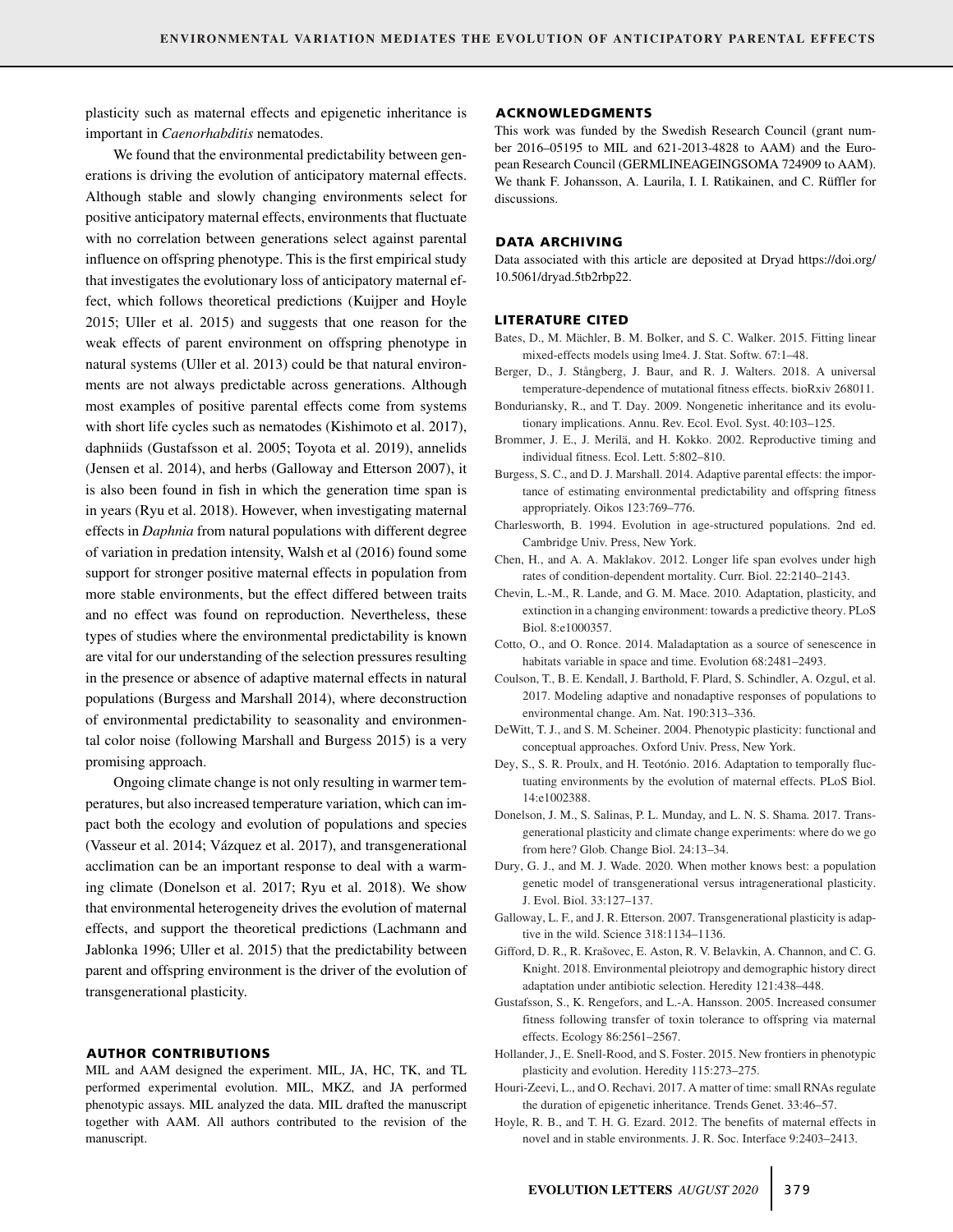plasticity such as maternal effects and epigenetic inheritance is important in *Caenorhabditis* nematodes.

We found that the environmental predictability between generations is driving the evolution of anticipatory maternal effects. Although stable and slowly changing environments select for positive anticipatory maternal effects, environments that fluctuate with no correlation between generations select against parental influence on offspring phenotype. This is the first empirical study that investigates the evolutionary loss of anticipatory maternal effect, which follows theoretical predictions (Kuijper and Hoyle 2015; Uller et al. 2015) and suggests that one reason for the weak effects of parent environment on offspring phenotype in natural systems (Uller et al. 2013) could be that natural environments are not always predictable across generations. Although most examples of positive parental effects come from systems with short life cycles such as nematodes (Kishimoto et al. 2017), daphniids (Gustafsson et al. 2005; Toyota et al. 2019), annelids (Jensen et al. 2014), and herbs (Galloway and Etterson 2007), it is also been found in fish in which the generation time span is in years (Ryu et al. 2018). However, when investigating maternal effects in *Daphnia* from natural populations with different degree of variation in predation intensity, Walsh et al (2016) found some support for stronger positive maternal effects in population from more stable environments, but the effect differed between traits and no effect was found on reproduction. Nevertheless, these types of studies where the environmental predictability is known are vital for our understanding of the selection pressures resulting in the presence or absence of adaptive maternal effects in natural populations (Burgess and Marshall 2014), where deconstruction of environmental predictability to seasonality and environmental color noise (following Marshall and Burgess 2015) is a very promising approach.

Ongoing climate change is not only resulting in warmer temperatures, but also increased temperature variation, which can impact both the ecology and evolution of populations and species (Vasseur et al. 2014; Vázquez et al. 2017), and transgenerational acclimation can be an important response to deal with a warming climate (Donelson et al. 2017; Ryu et al. 2018). We show that environmental heterogeneity drives the evolution of maternal effects, and support the theoretical predictions (Lachmann and Jablonka 1996; Uller et al. 2015) that the predictability between parent and offspring environment is the driver of the evolution of transgenerational plasticity.

#### **AUTHOR CONTRIBUTIONS**

MIL and AAM designed the experiment. MIL, JA, HC, TK, and TL performed experimental evolution. MIL, MKZ, and JA performed phenotypic assays. MIL analyzed the data. MIL drafted the manuscript together with AAM. All authors contributed to the revision of the manuscript.

#### **ACKNOWLEDGMENTS**

This work was funded by the Swedish Research Council (grant number 2016–05195 to MIL and 621-2013-4828 to AAM) and the European Research Council (GERMLINEAGEINGSOMA 724909 to AAM). We thank F. Johansson, A. Laurila, I. I. Ratikainen, and C. Rüffler for discussions.

#### **DATA ARCHIVING**

Data associated with this article are deposited at Dryad [https://doi.org/](https://doi.org/10.5061/dryad.5tb2rbp22) [10.5061/dryad.5tb2rbp22.](https://doi.org/10.5061/dryad.5tb2rbp22)

#### **LITERATURE CITED**

- Bates, D., M. Mächler, B. M. Bolker, and S. C. Walker. 2015. Fitting linear mixed-effects models using lme4. J. Stat. Softw. 67:1–48.
- Berger, D., J. Stångberg, J. Baur, and R. J. Walters. 2018. A universal temperature-dependence of mutational fitness effects. bioRxiv 268011.
- Bonduriansky, R., and T. Day. 2009. Nongenetic inheritance and its evolutionary implications. Annu. Rev. Ecol. Evol. Syst. 40:103–125.
- Brommer, J. E., J. Merilä, and H. Kokko. 2002. Reproductive timing and individual fitness. Ecol. Lett. 5:802–810.
- Burgess, S. C., and D. J. Marshall. 2014. Adaptive parental effects: the importance of estimating environmental predictability and offspring fitness appropriately. Oikos 123:769–776.
- Charlesworth, B. 1994. Evolution in age-structured populations. 2nd ed. Cambridge Univ. Press, New York.
- Chen, H., and A. A. Maklakov. 2012. Longer life span evolves under high rates of condition-dependent mortality. Curr. Biol. 22:2140–2143.
- Chevin, L.-M., R. Lande, and G. M. Mace. 2010. Adaptation, plasticity, and extinction in a changing environment: towards a predictive theory. PLoS Biol. 8:e1000357.
- Cotto, O., and O. Ronce. 2014. Maladaptation as a source of senescence in habitats variable in space and time. Evolution 68:2481–2493.
- Coulson, T., B. E. Kendall, J. Barthold, F. Plard, S. Schindler, A. Ozgul, et al. 2017. Modeling adaptive and nonadaptive responses of populations to environmental change. Am. Nat. 190:313–336.
- DeWitt, T. J., and S. M. Scheiner. 2004. Phenotypic plasticity: functional and conceptual approaches. Oxford Univ. Press, New York.
- Dey, S., S. R. Proulx, and H. Teotónio. 2016. Adaptation to temporally fluctuating environments by the evolution of maternal effects. PLoS Biol. 14:e1002388.
- Donelson, J. M., S. Salinas, P. L. Munday, and L. N. S. Shama. 2017. Transgenerational plasticity and climate change experiments: where do we go from here? Glob. Change Biol. 24:13–34.
- Dury, G. J., and M. J. Wade. 2020. When mother knows best: a population genetic model of transgenerational versus intragenerational plasticity. J. Evol. Biol. 33:127–137.
- Galloway, L. F., and J. R. Etterson. 2007. Transgenerational plasticity is adaptive in the wild. Science 318:1134–1136.
- Gifford, D. R., R. Krašovec, E. Aston, R. V. Belavkin, A. Channon, and C. G. Knight. 2018. Environmental pleiotropy and demographic history direct adaptation under antibiotic selection. Heredity 121:438–448.
- Gustafsson, S., K. Rengefors, and L.-A. Hansson. 2005. Increased consumer fitness following transfer of toxin tolerance to offspring via maternal effects. Ecology 86:2561–2567.
- Hollander, J., E. Snell-Rood, and S. Foster. 2015. New frontiers in phenotypic plasticity and evolution. Heredity 115:273–275.
- Houri-Zeevi, L., and O. Rechavi. 2017. A matter of time: small RNAs regulate the duration of epigenetic inheritance. Trends Genet. 33:46–57.
- Hoyle, R. B., and T. H. G. Ezard. 2012. The benefits of maternal effects in novel and in stable environments. J. R. Soc. Interface 9:2403–2413.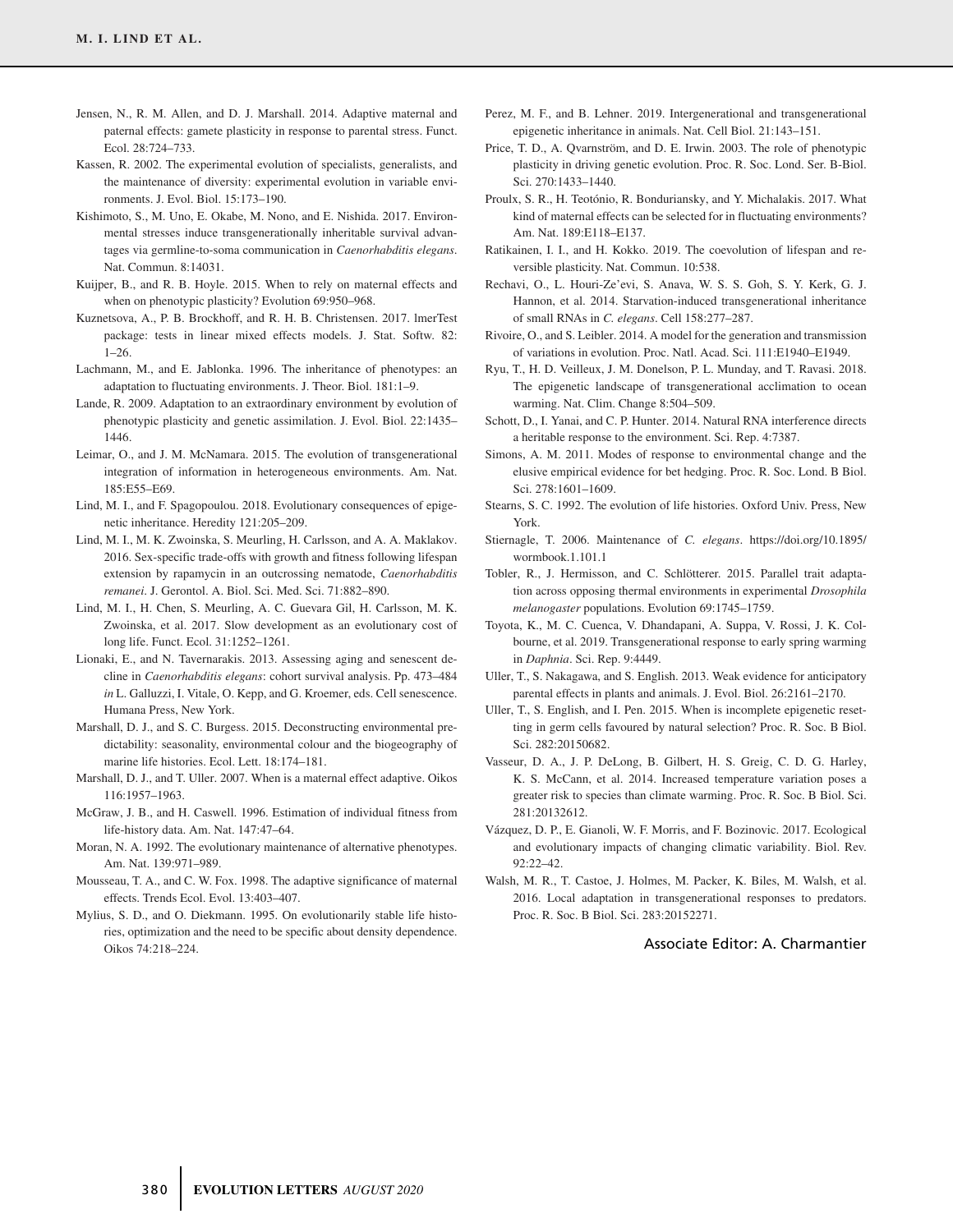- Jensen, N., R. M. Allen, and D. J. Marshall. 2014. Adaptive maternal and paternal effects: gamete plasticity in response to parental stress. Funct. Ecol. 28:724–733.
- Kassen, R. 2002. The experimental evolution of specialists, generalists, and the maintenance of diversity: experimental evolution in variable environments. J. Evol. Biol. 15:173–190.
- Kishimoto, S., M. Uno, E. Okabe, M. Nono, and E. Nishida. 2017. Environmental stresses induce transgenerationally inheritable survival advantages via germline-to-soma communication in *Caenorhabditis elegans*. Nat. Commun. 8:14031.
- Kuijper, B., and R. B. Hoyle. 2015. When to rely on maternal effects and when on phenotypic plasticity? Evolution 69:950–968.
- Kuznetsova, A., P. B. Brockhoff, and R. H. B. Christensen. 2017. lmerTest package: tests in linear mixed effects models. J. Stat. Softw. 82: 1–26.
- Lachmann, M., and E. Jablonka. 1996. The inheritance of phenotypes: an adaptation to fluctuating environments. J. Theor. Biol. 181:1–9.
- Lande, R. 2009. Adaptation to an extraordinary environment by evolution of phenotypic plasticity and genetic assimilation. J. Evol. Biol. 22:1435– 1446.
- Leimar, O., and J. M. McNamara. 2015. The evolution of transgenerational integration of information in heterogeneous environments. Am. Nat. 185:E55–E69.
- Lind, M. I., and F. Spagopoulou. 2018. Evolutionary consequences of epigenetic inheritance. Heredity 121:205–209.
- Lind, M. I., M. K. Zwoinska, S. Meurling, H. Carlsson, and A. A. Maklakov. 2016. Sex-specific trade-offs with growth and fitness following lifespan extension by rapamycin in an outcrossing nematode, *Caenorhabditis remanei*. J. Gerontol. A. Biol. Sci. Med. Sci. 71:882–890.
- Lind, M. I., H. Chen, S. Meurling, A. C. Guevara Gil, H. Carlsson, M. K. Zwoinska, et al. 2017. Slow development as an evolutionary cost of long life. Funct. Ecol. 31:1252–1261.
- Lionaki, E., and N. Tavernarakis. 2013. Assessing aging and senescent decline in *Caenorhabditis elegans*: cohort survival analysis. Pp. 473–484 *in* L. Galluzzi, I. Vitale, O. Kepp, and G. Kroemer, eds. Cell senescence. Humana Press, New York.
- Marshall, D. J., and S. C. Burgess. 2015. Deconstructing environmental predictability: seasonality, environmental colour and the biogeography of marine life histories. Ecol. Lett. 18:174–181.
- Marshall, D. J., and T. Uller. 2007. When is a maternal effect adaptive. Oikos 116:1957–1963.
- McGraw, J. B., and H. Caswell. 1996. Estimation of individual fitness from life-history data. Am. Nat. 147:47–64.
- Moran, N. A. 1992. The evolutionary maintenance of alternative phenotypes. Am. Nat. 139:971–989.
- Mousseau, T. A., and C. W. Fox. 1998. The adaptive significance of maternal effects. Trends Ecol. Evol. 13:403–407.
- Mylius, S. D., and O. Diekmann. 1995. On evolutionarily stable life histories, optimization and the need to be specific about density dependence. Oikos 74:218–224.
- Perez, M. F., and B. Lehner. 2019. Intergenerational and transgenerational epigenetic inheritance in animals. Nat. Cell Biol. 21:143–151.
- Price, T. D., A. Qvarnström, and D. E. Irwin. 2003. The role of phenotypic plasticity in driving genetic evolution. Proc. R. Soc. Lond. Ser. B-Biol. Sci. 270:1433–1440.
- Proulx, S. R., H. Teotónio, R. Bonduriansky, and Y. Michalakis. 2017. What kind of maternal effects can be selected for in fluctuating environments? Am. Nat. 189:E118–E137.
- Ratikainen, I. I., and H. Kokko. 2019. The coevolution of lifespan and reversible plasticity. Nat. Commun. 10:538.
- Rechavi, O., L. Houri-Ze'evi, S. Anava, W. S. S. Goh, S. Y. Kerk, G. J. Hannon, et al. 2014. Starvation-induced transgenerational inheritance of small RNAs in *C. elegans*. Cell 158:277–287.
- Rivoire, O., and S. Leibler. 2014. A model for the generation and transmission of variations in evolution. Proc. Natl. Acad. Sci. 111:E1940–E1949.
- Ryu, T., H. D. Veilleux, J. M. Donelson, P. L. Munday, and T. Ravasi. 2018. The epigenetic landscape of transgenerational acclimation to ocean warming. Nat. Clim. Change 8:504–509.
- Schott, D., I. Yanai, and C. P. Hunter. 2014. Natural RNA interference directs a heritable response to the environment. Sci. Rep. 4:7387.
- Simons, A. M. 2011. Modes of response to environmental change and the elusive empirical evidence for bet hedging. Proc. R. Soc. Lond. B Biol. Sci. 278:1601–1609.
- Stearns, S. C. 1992. The evolution of life histories. Oxford Univ. Press, New York.
- Stiernagle, T. 2006. Maintenance of *C. elegans*. [https://doi.org/10.1895/](https://doi.org/10.1895/wormbook.1.101.1) [wormbook.1.101.1](https://doi.org/10.1895/wormbook.1.101.1)
- Tobler, R., J. Hermisson, and C. Schlötterer. 2015. Parallel trait adaptation across opposing thermal environments in experimental *Drosophila melanogaster* populations. Evolution 69:1745–1759.
- Toyota, K., M. C. Cuenca, V. Dhandapani, A. Suppa, V. Rossi, J. K. Colbourne, et al. 2019. Transgenerational response to early spring warming in *Daphnia*. Sci. Rep. 9:4449.
- Uller, T., S. Nakagawa, and S. English. 2013. Weak evidence for anticipatory parental effects in plants and animals. J. Evol. Biol. 26:2161–2170.
- Uller, T., S. English, and I. Pen. 2015. When is incomplete epigenetic resetting in germ cells favoured by natural selection? Proc. R. Soc. B Biol. Sci. 282:20150682.
- Vasseur, D. A., J. P. DeLong, B. Gilbert, H. S. Greig, C. D. G. Harley, K. S. McCann, et al. 2014. Increased temperature variation poses a greater risk to species than climate warming. Proc. R. Soc. B Biol. Sci. 281:20132612.
- Vázquez, D. P., E. Gianoli, W. F. Morris, and F. Bozinovic. 2017. Ecological and evolutionary impacts of changing climatic variability. Biol. Rev.  $92:22-42$ .
- Walsh, M. R., T. Castoe, J. Holmes, M. Packer, K. Biles, M. Walsh, et al. 2016. Local adaptation in transgenerational responses to predators. Proc. R. Soc. B Biol. Sci. 283:20152271.

### Associate Editor: A. Charmantier